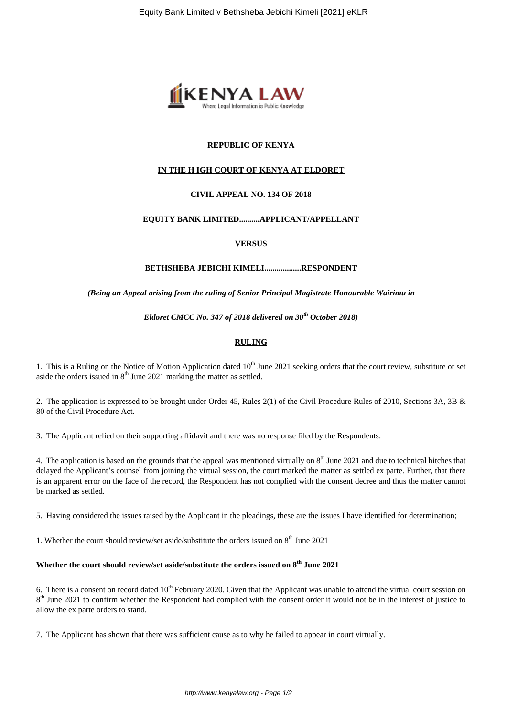

# **REPUBLIC OF KENYA**

# **IN THE H IGH COURT OF KENYA AT ELDORET**

# **CIVIL APPEAL NO. 134 OF 2018**

# **EQUITY BANK LIMITED..........APPLICANT/APPELLANT**

### **VERSUS**

# **BETHSHEBA JEBICHI KIMELI..................RESPONDENT**

#### *(Being an Appeal arising from the ruling of Senior Principal Magistrate Honourable Wairimu in*

*Eldoret CMCC No. 347 of 2018 delivered on 30th October 2018)*

# **RULING**

1. This is a Ruling on the Notice of Motion Application dated  $10<sup>th</sup>$  June 2021 seeking orders that the court review, substitute or set aside the orders issued in  $8<sup>th</sup>$  June 2021 marking the matter as settled.

2. The application is expressed to be brought under Order 45, Rules 2(1) of the Civil Procedure Rules of 2010, Sections 3A, 3B & 80 of the Civil Procedure Act.

3. The Applicant relied on their supporting affidavit and there was no response filed by the Respondents.

4. The application is based on the grounds that the appeal was mentioned virtually on  $8<sup>th</sup>$  June 2021 and due to technical hitches that delayed the Applicant's counsel from joining the virtual session, the court marked the matter as settled ex parte. Further, that there is an apparent error on the face of the record, the Respondent has not complied with the consent decree and thus the matter cannot be marked as settled.

5. Having considered the issues raised by the Applicant in the pleadings, these are the issues I have identified for determination;

1. Whether the court should review/set aside/substitute the orders issued on  $8<sup>th</sup>$  June 2021

# **Whether the court should review/set aside/substitute the orders issued on 8th June 2021**

6. There is a consent on record dated  $10<sup>th</sup>$  February 2020. Given that the Applicant was unable to attend the virtual court session on 8<sup>th</sup> June 2021 to confirm whether the Respondent had complied with the consent order it would not be in the interest of justice to allow the ex parte orders to stand.

7. The Applicant has shown that there was sufficient cause as to why he failed to appear in court virtually.